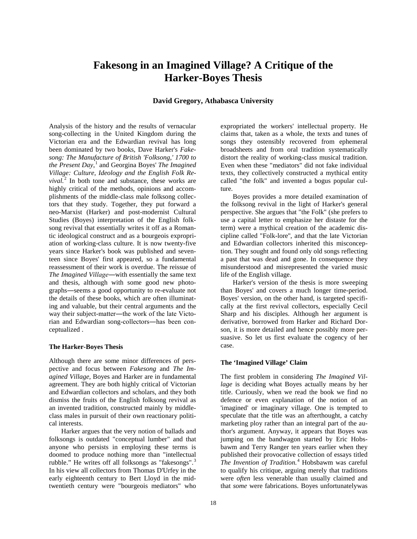# **Fakesong in an Imagined Village? A Critique of the Harker-Boyes Thesis**

## **David Gregory, Athabasca University**

Analysis of the history and the results of vernacular song-collecting in the United Kingdom during the Victorian era and the Edwardian revival has long been dominated by two books, Dave Harker's *Fakesong: The Manufacture of British 'Folksong,' 1700 to the Present Day*, [1](#page-8-0) and Georgina Boyes' *The Imagined Village: Culture, Ideology and the English Folk Re* $vival.$ <sup>[2](#page-8-1)</sup> In both tone and substance, these works are highly critical of the methods, opinions and accomplishments of the middle-class male folksong collectors that they study. Together, they put forward a neo-Marxist (Harker) and post-modernist Cultural Studies (Boyes) interpretation of the English folksong revival that essentially writes it off as a Romantic ideological construct and as a bourgeois expropriation of working-class culture. It is now twenty-five years since Harker's book was published and seventeen since Boyes' first appeared, so a fundamental reassessment of their work is overdue. The reissue of *The Imagined Village―*with essentially the same text and thesis, although with some good new photographs―seems a good opportunity to re-evaluate not the details of these books, which are often illuminating and valuable, but their central arguments and the way their subject-matter―the work of the late Victorian and Edwardian song-collectors―has been conceptualized .

#### **The Harker-Boyes Thesis**

Although there are some minor differences of perspective and focus between *Fakesong* and *The Imagined Village,* Boyes and Harker are in fundamental agreement. They are both highly critical of Victorian and Edwardian collectors and scholars, and they both dismiss the fruits of the English folksong revival as an invented tradition, constructed mainly by middleclass males in pursuit of their own reactionary political interests.

Harker argues that the very notion of ballads and folksongs is outdated "conceptual lumber" and that anyone who persists in employing these terms is doomed to produce nothing more than "intellectual rubble." He writes off all folksongs as "fakesongs".<sup>[3](#page-8-2)</sup> In his view all collectors from Thomas D'Urfey in the early eighteenth century to Bert Lloyd in the midtwentieth century were "bourgeois mediators" who

expropriated the workers' intellectual property. He claims that, taken as a whole, the texts and tunes of songs they ostensibly recovered from ephemeral broadsheets and from oral tradition systematically distort the reality of working-class musical tradition. Even when these "mediators" did not fake individual texts, they collectively constructed a mythical entity called "the folk" and invented a bogus popular culture.

Boyes provides a more detailed examination of the folksong revival in the light of Harker's general perspective. She argues that "the Folk" (she prefers to use a capital letter to emphasize her distaste for the term) were a mythical creation of the academic discipline called "Folk-lore'', and that the late Victorian and Edwardian collectors inherited this misconception. They sought and found only old songs reflecting a past that was dead and gone. In consequence they misunderstood and misrepresented the varied music life of the English village.

Harker's version of the thesis is more sweeping than Boyes' and covers a much longer time-period. Boyes' version, on the other hand, is targeted specifically at the first revival collectors, especially Cecil Sharp and his disciples. Although her argument is derivative, borrowed from Harker and Richard Dorson, it is more detailed and hence possibly more persuasive. So let us first evaluate the cogency of her case.

#### **The 'Imagined Village' Claim**

The first problem in considering *The Imagined Village* is deciding what Boyes actually means by her title. Curiously, when we read the book we find no defence or even explanation of the notion of an 'imagined' or imaginary village. One is tempted to speculate that the title was an afterthought, a catchy marketing ploy rather than an integral part of the author's argument. Anyway, it appears that Boyes was jumping on the bandwagon started by Eric Hobsbawm and Terry Ranger ten years earlier when they published their provocative collection of essays titled *The Invention of Tradition.*[4](#page-8-3) Hobsbawm was careful to qualify his critique, arguing merely that traditions were *often* less venerable than usually claimed and that *some* were fabrications. Boyes unfortunatelywas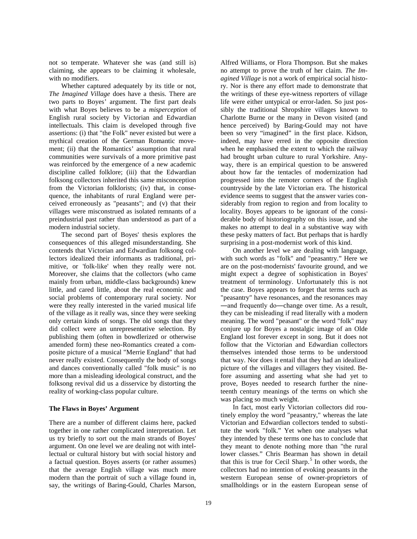not so temperate. Whatever she was (and still is) claiming, she appears to be claiming it wholesale, with no modifiers.

Whether captured adequately by its title or not, *The Imagined Village* does have a thesis. There are two parts to Boyes' argument. The first part deals with what Boyes believes to be a *misperception* of English rural society by Victorian and Edwardian intellectuals. This claim is developed through five assertions: (i) that "the Folk" never existed but were a mythical creation of the German Romantic movement; (ii) that the Romantics' assumption that rural communities were survivals of a more primitive past was reinforced by the emergence of a new academic discipline called folklore; (iii) that the Edwardian folksong collectors inherited this same misconception from the Victorian folklorists; (iv) that, in consequence, the inhabitants of rural England were perceived erroneously as "peasants"; and (v) that their villages were misconstrued as isolated remnants of a preindustrial past rather than understood as part of a modern industrial society.

The second part of Boyes' thesis explores the consequences of this alleged misunderstanding. She contends that Victorian and Edwardian folksong collectors idealized their informants as traditional, primitive, or 'folk-like' when they really were not. Moreover, she claims that the collectors (who came mainly from urban, middle-class backgrounds) knew little, and cared little, about the real economic and social problems of contemporary rural society. Nor were they really interested in the varied musical life of the village as it really was, since they were seeking only certain kinds of songs. The old songs that they did collect were an unrepresentative selection. By publishing them (often in bowdlerized or otherwise amended form) these neo-Romantics created a composite picture of a musical "Merrie England" that had never really existed. Consequently the body of songs and dances conventionally called "folk music" is no more than a misleading ideological construct, and the folksong revival did us a disservice by distorting the reality of working-class popular culture.

## **The Flaws in Boyes' Argument**

There are a number of different claims here, packed together in one rather complicated interpretation. Let us try briefly to sort out the main strands of Boyes' argument. On one level we are dealing not with intellectual or cultural history but with social history and a factual question. Boyes asserts (or rather assumes) that the average English village was much more modern than the portrait of such a village found in, say, the writings of Baring-Gould, Charles Marson,

Alfred Williams, or Flora Thompson. But she makes no attempt to prove the truth of her claim. *The Imagined Village* is not a work of empirical social history. Nor is there any effort made to demonstrate that the writings of these eye-witness reporters of village life were either untypical or error-laden. So just possibly the traditional Shropshire villages known to Charlotte Burne or the many in Devon visited (and hence perceived) by Baring-Gould may not have been so very "imagined" in the first place. Kidson, indeed, may have erred in the opposite direction when he emphasised the extent to which the railway had brought urban culture to rural Yorkshire. Anyway, there is an empirical question to be answered about how far the tentacles of modernization had progressed into the remoter corners of the English countryside by the late Victorian era. The historical evidence seems to suggest that the answer varies considerably from region to region and from locality to locality. Boyes appears to be ignorant of the considerable body of historiography on this issue, and she makes no attempt to deal in a substantive way with these pesky matters of fact. But perhaps that is hardly surprising in a post-modernist work of this kind.

On another level we are dealing with language, with such words as "folk" and "peasantry." Here we are on the post-modernists' favourite ground, and we might expect a degree of sophistication in Boyes' treatment of terminology. Unfortunately this is not the case. Boyes appears to forget that terms such as "peasantry" have resonances, and the resonances may ―and frequently do―change over time. As a result, they can be misleading if read literally with a modern meaning. The word "peasant" or the word "folk" may conjure up for Boyes a nostalgic image of an Olde England lost forever except in song. But it does not follow that the Victorian and Edwardian collectors themselves intended those terms to be understood that way. Nor does it entail that they had an idealized picture of the villages and villagers they visited. Before assuming and asserting what she had yet to prove, Boyes needed to research further the nineteenth century meanings of the terms on which she was placing so much weight.

In fact, most early Victorian collectors did routinely employ the word "peasantry," whereas the late Victorian and Edwardian collectors tended to substitute the work "folk." Yet when one analyses what they intended by these terms one has to conclude that they meant to denote nothing more than "the rural lower classes." Chris Bearman has shown in detail that this is true for Cecil Sharp.<sup>[5](#page-8-4)</sup> In other words, the collectors had no intention of evoking peasants in the western European sense of owner-proprietors of smallholdings or in the eastern European sense of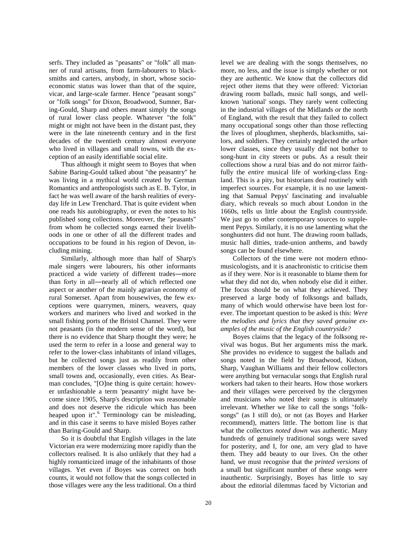serfs. They included as "peasants" or "folk" all manner of rural artisans, from farm-labourers to blacksmiths and carters, anybody, in short, whose socioeconomic status was lower than that of the squire, vicar, and large-scale farmer. Hence "peasant songs" or "folk songs" for Dixon, Broadwood, Sumner, Baring-Gould, Sharp and others meant simply the songs of rural lower class people. Whatever "the folk" might or might not have been in the distant past, they were in the late nineteenth century and in the first decades of the twentieth century almost everyone who lived in villages and small towns, with the exception of an easily identifiable social elite.

Thus although it might seem to Boyes that when Sabine Baring-Gould talked about "the peasantry" he was living in a mythical world created by German Romantics and anthropologists such as E. B. Tylor, in fact he was well aware of the harsh realities of everyday life in Lew Trenchard. That is quite evident when one reads his autobiography, or even the notes to his published song collections. Moreover, the "peasants" from whom he collected songs earned their livelihoods in one or other of all the different trades and occupations to be found in his region of Devon, including mining.

Similarly, although more than half of Sharp's male singers were labourers, his other informants practiced a wide variety of different trades―more than forty in all―nearly all of which reflected one aspect or another of the mainly agrarian economy of rural Somerset. Apart from housewives, the few exceptions were quarrymen, miners, weavers, quay workers and mariners who lived and worked in the small fishing ports of the Bristol Channel. They were not peasants (in the modern sense of the word), but there is no evidence that Sharp thought they were; he used the term to refer in a loose and general way to refer to the lower-class inhabitants of inland villages, but he collected songs just as readily from other members of the lower classes who lived in ports, small towns and, occasionally, even cities. As Bearman concludes, "[O]ne thing is quite certain: however unfashionable a term 'peasantry' might have become since 1905, Sharp's description was reasonable and does not deserve the ridicule which has been heaped upon it".<sup>[6](#page-8-5)</sup> Terminology can be misleading, and in this case it seems to have misled Boyes rather than Baring-Gould and Sharp.

So it is doubtful that English villages in the late Victorian era were modernizing more rapidly than the collectors realised. It is also unlikely that they had a highly romanticized image of the inhabitants of those villages. Yet even if Boyes was correct on both counts, it would not follow that the songs collected in those villages were any the less traditional. On a third level we are dealing with the songs themselves, no more, no less, and the issue is simply whether or not they are authentic. We know that the collectors did reject other items that they were offered: Victorian drawing room ballads, music hall songs, and wellknown 'national' songs. They rarely went collecting in the industrial villages of the Midlands or the north of England, with the result that they failed to collect many occupational songs other than those reflecting the lives of ploughmen, shepherds, blacksmiths, sailors, and soldiers. They certainly neglected the *urban* lower classes, since they usually did not bother to song-hunt in city streets or pubs. As a result their collections show a rural bias and do not mirror faithfully the *entire* musical life of working-class England. This is a pity, but historians deal routinely with imperfect sources. For example, it is no use lamenting that Samual Pepys' fascinating and invaluable diary, which reveals so much about London in the 1660s, tells us little about the English countryside. We just go to other contemporary sources to supplement Pepys. Similarly, it is no use lamenting what the songhunters did not hunt. The drawing room ballads, music hall ditties, trade-union anthems, and bawdy songs can be found elsewhere.

Collectors of the time were not modern ethnomusicologists, and it is anachronistic to criticise them as if they were. Nor is it reasonable to blame them for what they did not do, when nobody else did it either. The focus should be on what they achieved. They preserved a large body of folksongs and ballads, many of which would otherwise have been lost forever. The important question to be asked is this: *Were the melodies and lyrics that they saved genuine examples of the music of the English countryside?*

Boyes claims that the legacy of the folksong revival was bogus. But her arguments miss the mark. She provides no evidence to suggest the ballads and songs noted in the field by Broadwood, Kidson, Sharp, Vaughan Williams and their fellow collectors were anything but vernacular songs that English rural workers had taken to their hearts. How those workers and their villages were perceived by the clergymen and musicians who noted their songs is ultimately irrelevant. Whether we like to call the songs "folksongs" (as I still do), or not (as Boyes and Harker recommend), matters little. The bottom line is that what the collectors *noted down* was authentic. Many hundreds of genuinely traditional songs were saved for posterity, and I, for one, am very glad to have them. They add beauty to our lives. On the other hand, we must recognise that the *printed versions* of a small but significant number of these songs were inauthentic. Surprisingly, Boyes has little to say about the editorial dilemmas faced by Victorian and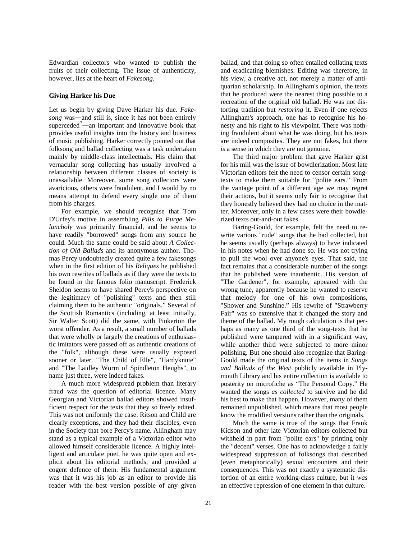Edwardian collectors who wanted to publish the fruits of their collecting. The issue of authenticity, however, lies at the heart of *Fakesong.*

### **Giving Harker his Due**

Let us begin by giving Dave Harker his due. *Fakesong* was―and still is, since it has not been entirely superceded<sup>[7](#page-8-6)</sup>—an important and innovative book that provides useful insights into the history and business of music publishing. Harker correctly pointed out that folksong and ballad collecting was a task undertaken mainly by middle-class intellectuals. His claim that vernacular song collecting has usually involved a relationship between different classes of society is unassailable. Moreover, some song collectors were avaricious, others were fraudulent, and I would by no means attempt to defend every single one of them from his charges.

For example, we should recognise that Tom D'Urfey's motive in assembling *Pills to Purge Melancholy* was primarily financial, and he seems to have readily "borrowed" songs from any source he could. Much the same could be said about *A Collection of Old Ballads* and its anonymous author. Thomas Percy undoubtedly created quite a few fakesongs when in the first edition of his *Reliques* he published his own rewrites of ballads as if they were the texts to be found in the famous folio manuscript. Frederick Sheldon seems to have shared Percy's perspective on the legitimacy of "polishing" texts and then still claiming them to be authentic "originals." Several of the Scottish Romantics (including, at least initially, Sir Walter Scott) did the same, with Pinkerton the worst offender. As a result, a small number of ballads that were wholly or largely the creations of enthusiastic imitators were passed off as authentic creations of the "folk", although these were usually exposed sooner or later. "The Child of Elle", "Hardyknute" and "The Laidley Worm of Spindleton Heughs", to name just three, were indeed fakes.

A much more widespread problem than literary fraud was the question of editorial licence. Many Georgian and Victorian ballad editors showed insufficient respect for the texts that they so freely edited. This was not uniformly the case: Ritson and Child are clearly exceptions, and they had their disciples, even in the Society that bore Percy's name. Allingham may stand as a typical example of a Victorian editor who allowed himself considerable licence. A highly intelligent and articulate poet, he was quite open and explicit about his editorial methods, and provided a cogent defence of them. His fundamental argument was that it was his job as an editor to provide his reader with the best version possible of any given

ballad, and that doing so often entailed collating texts and eradicating blemishes. Editing was therefore, in his view, a creative act, not merely a matter of antiquarian scholarship. In Allingham's opinion, the texts that he produced were the nearest thing possible to a recreation of the original old ballad. He was not distorting tradition but *restoring* it. Even if one rejects Allingham's approach, one has to recognise his honesty and his right to his viewpoint. There was nothing fraudulent about what he was doing, but his texts are indeed composites. They are not fakes, but there *is* a sense in which they are not genuine.

The third major problem that gave Harker grist for his mill was the issue of bowdlerization. Most late Victorian editors felt the need to censor certain songtexts to make them suitable for "polite ears." From the vantage point of a different age we may regret their actions, but it seems only fair to recognise that they honestly believed they had no choice in the matter. Moreover, only in a few cases were their bowdlerized texts out-and-out fakes.

Baring-Gould, for example, felt the need to rewrite various "rude" songs that he had collected, but he seems usually (perhaps always) to have indicated in his notes when he had done so. He was not trying to pull the wool over anyone's eyes. That said, the fact remains that a considerable number of the songs that he published were inauthentic. His version of "The Gardener", for example, appeared with the wrong tune, apparently because he wanted to reserve that melody for one of his own compositions, "Shower and Sunshine." His rewrite of "Strawberry Fair" was so extensive that it changed the story and theme of the ballad. My rough calculation is that perhaps as many as one third of the song-texts that he published were tampered with in a significant way, while another third were subjected to more minor polishing. But one should also recognize that Baring-Gould made the original texts of the items in *Songs and Ballads of the West* publicly available in Plymouth Library and his entire collection is available to posterity on microfiche as "The Personal Copy." He wanted the songs *as collected* to survive and he did his best to make that happen. However, many of them remained unpublished, which means that most people know the modified versions rather than the originals.

Much the same is true of the songs that Frank Kidson and other late Victorian editors collected but withheld in part from "polite ears" by printing only the "decent" verses. One has to acknowledge a fairly widespread suppression of folksongs that described (even metaphorically) sexual encounters and their consequences. This was not exactly a systematic distortion of an entire working-class culture, but it *was* an effective repression of one element in that culture.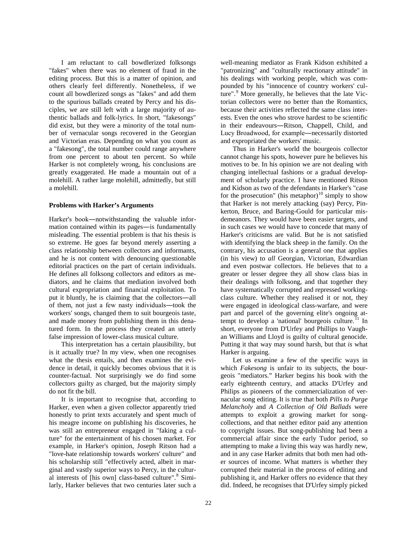I am reluctant to call bowdlerized folksongs "fakes" when there was no element of fraud in the editing process. But this is a matter of opinion, and others clearly feel differently. Nonetheless, if we count all bowdlerized songs as "fakes" and add them to the spurious ballads created by Percy and his disciples, we are still left with a large majority of authentic ballads and folk-lyrics. In short, "fakesongs" did exist, but they were a minority of the total number of vernacular songs recovered in the Georgian and Victorian eras. Depending on what you count as a "fakesong", the total number could range anywhere from one percent to about ten percent. So while Harker is not completely wrong, his conclusions are greatly exaggerated. He made a mountain out of a molehill. A rather large molehill, admittedly, but still a molehill.

#### **Problems with Harker's Arguments**

Harker's book―notwithstanding the valuable information contained within its pages—is fundamentally misleading. The essential problem is that his thesis is so extreme. He goes far beyond merely asserting a class relationship between collectors and informants, and he is not content with denouncing questionable editorial practices on the part of certain individuals. He defines all folksong collectors and editors as mediators, and he claims that mediation involved both cultural expropriation and financial exploitation. To put it bluntly, he is claiming that the collectors―all of them, not just a few nasty individuals―took the workers' songs, changed them to suit bourgeois taste, and made money from publishing them in this denatured form. In the process they created an utterly false impression of lower-class musical culture.

This interpretation has a certain plausibility, but is it actually true? In my view, when one recognises what the thesis entails, and then examines the evidence in detail, it quickly becomes obvious that it is counter-factual. Not surprisingly we do find some collectors guilty as charged, but the majority simply do not fit the bill.

It is important to recognise that, according to Harker, even when a given collector apparently tried honestly to print texts accurately and spent much of his meagre income on publishing his discoveries, he was still an entrepreneur engaged in "faking a culture" for the entertainment of his chosen market. For example, in Harker's opinion, Joseph Ritson had a "love-hate relationship towards workers' culture" and his scholarship still "effectively acted, albeit in marginal and vastly superior ways to Percy, in the cultur-al interests of [his own] class-based culture".<sup>[8](#page-8-7)</sup> Similarly, Harker believes that two centuries later such a

well-meaning mediator as Frank Kidson exhibited a "patronizing" and "culturally reactionary attitude" in his dealings with working people, which was compounded by his "innocence of country workers' cul-ture".<sup>[9](#page-8-8)</sup> More generally, he believes that the late Victorian collectors were no better than the Romantics, because their activities reflected the same class interests. Even the ones who strove hardest to be scientific in their endeavours―Ritson, Chappell, Child, and Lucy Broadwood, for example―necessarily distorted and expropriated the workers' music.

Thus in Harker's world the bourgeois collector cannot change his spots, however pure he believes his motives to be. In his opinion we are not dealing with changing intellectual fashions or a gradual development of scholarly practice. I have mentioned Ritson and Kidson as two of the defendants in Harker's "case for the prosecution" (his metaphor)<sup>[10](#page-8-9)</sup> simply to show that Harker is not merely attacking (say) Percy, Pinkerton, Bruce, and Baring-Gould for particular misdemeanors. They would have been easier targets, and in such cases we would have to concede that many of Harker's criticisms are valid. But he is not satisfied with identifying the black sheep in the family. On the contrary, his accusation is a general one that applies (in his view) to *all* Georgian, Victorian, Edwardian and even postwar collectors. He believes that to a greater or lesser degree they all show class bias in their dealings with folksong, and that together they have systematically corrupted and repressed workingclass culture. Whether they realised it or not, they were engaged in ideological class-warfare, and were part and parcel of the governing elite's ongoing at-tempt to develop a 'national' bourgeois culture.<sup>[11](#page-8-10)</sup> In short, everyone from D'Urfey and Phillips to Vaughan Williams and Lloyd is guilty of cultural genocide. Putting it that way may sound harsh, but that *is* what Harker is arguing.

Let us examine a few of the specific ways in which *Fakesong* is unfair to its subjects, the bourgeois "mediators." Harker begins his book with the early eighteenth century, and attacks D'Urfey and Philips as pioneers of the commercialization of vernacular song editing. It is true that both *Pills to Purge Melancholy* and *A Collection of Old Ballads* were attempts to exploit a growing market for songcollections, and that neither editor paid any attention to copyright issues. But song-publishing had been a commercial affair since the early Tudor period, so attempting to make a living this way was hardly new, and in any case Harker admits that both men had other sources of income. What matters is whether they corrupted their material in the process of editing and publishing it, and Harker offers no evidence that they did. Indeed, he recognises that D'Urfey simply picked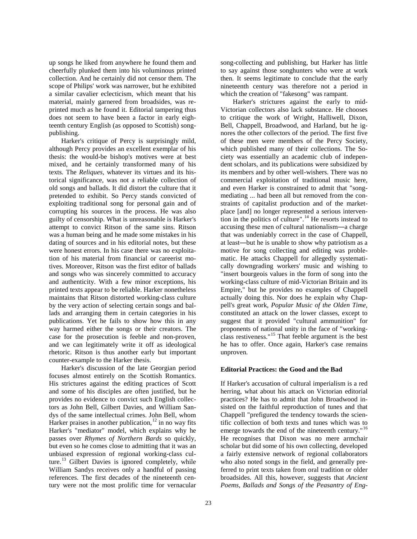up songs he liked from anywhere he found them and cheerfully plunked them into his voluminous printed collection. And he certainly did not censor them. The scope of Philips' work was narrower, but he exhibited a similar cavalier eclecticism, which meant that his material, mainly garnered from broadsides, was reprinted much as he found it. Editorial tampering thus does not seem to have been a factor in early eighteenth century English (as opposed to Scottish) songpublishing.

Harker's critique of Percy is surprisingly mild, although Percy provides an excellent exemplar of his thesis: the would-be bishop's motives were at best mixed, and he certainly transformed many of his texts. The *Reliques,* whatever its virtues and its historical significance, was not a reliable collection of old songs and ballads. It did distort the culture that it pretended to exhibit. So Percy stands convicted of exploiting traditional song for personal gain and of corrupting his sources in the process. He was also guilty of censorship. What is unreasonable is Harker's attempt to convict Ritson of the same sins. Ritson was a human being and he made some mistakes in his dating of sources and in his editorial notes, but these were honest errors. In his case there was no exploitation of his material from financial or careerist motives. Moreover, Ritson was the first editor of ballads and songs who was sincerely committed to accuracy and authenticity. With a few minor exceptions, his printed texts appear to be reliable. Harker nonetheless maintains that Ritson distorted working-class culture by the very action of selecting certain songs and ballads and arranging them in certain categories in his publications. Yet he fails to show how this in any way harmed either the songs or their creators. The case for the prosecution is feeble and non-proven, and we can legitimately write it off as ideological rhetoric. Ritson is thus another early but important counter-example to the Harker thesis.

Harker's discussion of the late Georgian period focuses almost entirely on the Scottish Romantics. His strictures against the editing practices of Scott and some of his disciples are often justified, but he provides no evidence to convict such English collectors as John Bell, Gilbert Davies, and William Sandys of the same intellectual crimes. John Bell, whom Harker praises in another publication,  $12$  in no way fits Harker's "mediator" model, which explains why he passes over *Rhymes of Northern Bards* so quickly, but even so he comes close to admitting that it was an unbiased expression of regional working-class cul-ture.<sup>[13](#page-8-12)</sup> Gilbert Davies is ignored completely, while William Sandys receives only a handful of passing references. The first decades of the nineteenth century were not the most prolific time for vernacular

song-collecting and publishing, but Harker has little to say against those songhunters who were at work then. It seems legitimate to conclude that the early nineteenth century was therefore not a period in which the creation of "fakesong" was rampant.

Harker's strictures against the early to mid-Victorian collectors also lack substance. He chooses to critique the work of Wright, Halliwell, Dixon, Bell, Chappell, Broadwood, and Harland, but he ignores the other collectors of the period. The first five of these men were members of the Percy Society, which published many of their collections. The Society was essentially an academic club of independent scholars, and its publications were subsidized by its members and by other well-wishers. There was no commercial exploitation of traditional music here, and even Harker is constrained to admit that "songmediating ... had been all but removed from the constraints of capitalist production and of the marketplace [and] no longer represented a serious intervention in the politics of culture". [14](#page-8-13) He resorts instead to accusing these men of cultural nationalism―a charge that was undeniably correct in the case of Chappell, at least―but he is unable to show why patriotism as a motive for song collecting and editing was problematic. He attacks Chappell for allegedly systematically downgrading workers' music and wishing to "insert bourgeois values in the form of song into the working-class culture of mid-Victorian Britain and its Empire," but he provides no examples of Chappell actually doing this. Nor does he explain why Chappell's great work, *Popular Music of the Olden Time,*  constituted an attack on the lower classes, except to suggest that it provided "cultural ammunition" for proponents of national unity in the face of "workingclass restiveness."[15](#page-8-14) That feeble argument is the best he has to offer. Once again, Harker's case remains unproven.

## **Editorial Practices: the Good and the Bad**

If Harker's accusation of cultural imperialism is a red herring, what about his attack on Victorian editorial practices? He has to admit that John Broadwood insisted on the faithful reproduction of tunes and that Chappell "prefigured the tendency towards the scientific collection of both texts and tunes which was to emerge towards the end of the nineteenth century."<sup>[16](#page-8-15)</sup> He recognises that Dixon was no mere armchair scholar but did some of his own collecting, developed a fairly extensive network of regional collaborators who also noted songs in the field, and generally preferred to print texts taken from oral tradition or older broadsides. All this, however, suggests that *Ancient Poems, Ballads and Songs of the Peasantry of Eng-*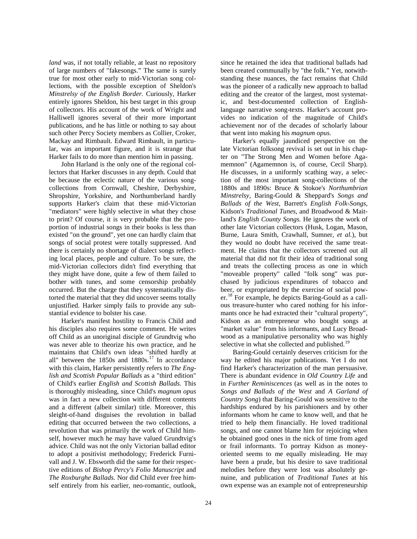*land* was, if not totally reliable, at least no repository of large numbers of "fakesongs." The same is surely true for most other early to mid-Victorian song collections, with the possible exception of Sheldon's *Minstrelsy of the English Border.* Curiously, Harker entirely ignores Sheldon, his best target in this group of collectors. His account of the work of Wright and Halliwell ignores several of their more important publications, and he has little or nothing to say about such other Percy Society members as Collier, Croker, Mackay and Rimbault. Edward Rimbault, in particular, was an important figure, and it is strange that Harker fails to do more than mention him in passing.

John Harland is the only one of the regional collectors that Harker discusses in any depth. Could that be because the eclectic nature of the various songcollections from Cornwall, Cheshire, Derbyshire, Shropshire, Yorkshire, and Northumberland hardly supports Harker's claim that these mid-Victorian "mediators" were highly selective in what they chose to print? Of course, it is very probable that the proportion of industrial songs in their books is less than existed "on the ground", yet one can hardly claim that songs of social protest were totally suppressed. And there is certainly no shortage of dialect songs reflecting local places, people and culture. To be sure, the mid-Victorian collectors didn't find everything that they might have done, quite a few of them failed to bother with tunes, and some censorship probably occurred. But the charge that they systematically distorted the material that they did uncover seems totally unjustified. Harker simply fails to provide any substantial evidence to bolster his case.

Harker's manifest hostility to Francis Child and his disciples also requires some comment. He writes off Child as an unoriginal disciple of Grundtvig who was never able to theorize his own practice, and he maintains that Child's own ideas "shifted hardly at all" between the  $1850s$  and  $1880s$ .<sup>[17](#page-8-16)</sup> In accordance with this claim, Harker persistently refers to *The English and Scottish Popular Ballads* as a "third edition" of Child's earlier *English and Scottish Ballads.* This is thoroughly misleading, since Child's *magnum opus*  was in fact a new collection with different contents and a different (albeit similar) title. Moreover, this sleight-of-hand disguises the revolution in ballad editing that occurred between the two collections, a revolution that was primarily the work of Child himself, however much he may have valued Grundtvig's advice. Child was not the only Victorian ballad editor to adopt a positivist methodology; Frederick Furnivall and J. W. Ebsworth did the same for their respective editions of *Bishop Percy's Folio Manuscript* and *The Roxburghe Ballads.* Nor did Child ever free himself entirely from his earlier, neo-romantic, outlook,

since he retained the idea that traditional ballads had been created communally by "the folk." Yet, notwithstanding these nuances, the fact remains that Child was the pioneer of a radically new approach to ballad editing and the creator of the largest, most systematic, and best-documented collection of Englishlanguage narrative song-texts. Harker's account provides no indication of the magnitude of Child's achievement nor of the decades of scholarly labour that went into making his *magnum opus.*

Harker's equally jaundiced perspective on the late Victorian folksong revival is set out in his chapter on "The Strong Men and Women before Agamemnon" (Agamemnon is, of course, Cecil Sharp). He discusses, in a uniformly scathing way, a selection of the most important song-collections of the 1880s and 1890s: Bruce & Stokoe's *Northumbrian Minstrelsy,* Baring-Gould & Sheppard's *Songs and Ballads of the West,* Barrett's *English Folk-Songs,*  Kidson's *Traditional Tunes,* and Broadwood & Maitland's *English County Songs.* He ignores the work of other late Victorian collectors (Husk, Logan, Mason, Burne, Laura Smith, Crawhall, Sumner, *et al.*), but they would no doubt have received the same treatment. He claims that the collectors screened out all material that did not fit their idea of traditional song and treats the collecting process as one in which "moveable property" called "folk song" was purchased by judicious expenditures of tobacco and beer, or expropriated by the exercise of social pow-er.<sup>[18](#page-8-17)</sup> For example, he depicts Baring-Gould as a callous treasure-hunter who cared nothing for his informants once he had extracted their "cultural property", Kidson as an entrepreneur who bought songs at "market value" from his informants, and Lucy Broadwood as a manipulative personality who was highly selective in what she collected and published.<sup>[19](#page-8-18)</sup>

Baring-Gould certainly deserves criticism for the way he edited his major publications. Yet I do not find Harker's characterization of the man persuasive. There is abundant evidence in *Old Country Life* and in *Further Reminiscences* (as well as in the notes to *Songs and Ballads of the West* and *A Garland of Country Song*) that Baring-Gould was sensitive to the hardships endured by his parishioners and by other informants whom he came to know well, and that he tried to help them financially. He loved traditional songs, and one cannot blame him for rejoicing when he obtained good ones in the nick of time from aged or frail informants. To portray Kidson as moneyoriented seems to me equally misleading. He may have been a prude, but his desire to save traditional melodies before they were lost was absolutely genuine, and publication of *Traditional Tunes* at his own expense was an example not of entrepreneurship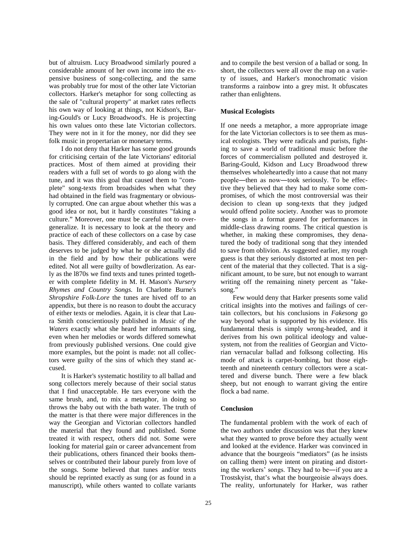but of altruism. Lucy Broadwood similarly poured a considerable amount of her own income into the expensive business of song-collecting, and the same was probably true for most of the other late Victorian collectors. Harker's metaphor for song collecting as the sale of "cultural property" at market rates reflects his own way of looking at things, not Kidson's, Baring-Gould's or Lucy Broadwood's. He is projecting his own values onto these late Victorian collectors. They were not in it for the money, nor did they see folk music in propertarian or monetary terms.

I do not deny that Harker has some good grounds for criticising certain of the late Victorians' editorial practices. Most of them aimed at providing their readers with a full set of words to go along with the tune, and it was this goal that caused them to "complete" song-texts from broadsides when what they had obtained in the field was fragmentary or obviously corrupted. One can argue about whether this was a good idea or not, but it hardly constitutes "faking a culture." Moreover, one must be careful not to overgeneralize. It is necessary to look at the theory and practice of each of these collectors on a case by case basis. They differed considerably, and each of them deserves to be judged by what he or she actually did in the field and by how their publications were edited. Not all were guilty of bowdlerization. As early as the l870s we find texts and tunes printed together with complete fidelity in M. H. Mason's *Nursery Rhymes and Country Songs.* In Charlotte Burne's *Shropshire Folk-Lore* the tunes are hived off to an appendix, but there is no reason to doubt the accuracy of either texts or melodies. Again, it is clear that Laura Smith conscientiously published in *Music of the Waters* exactly what she heard her informants sing, even when her melodies or words differed somewhat from previously published versions. One could give more examples, but the point is made: not all collectors were guilty of the sins of which they stand accused.

It is Harker's systematic hostility to all ballad and song collectors merely because of their social status that I find unacceptable. He tars everyone with the same brush, and, to mix a metaphor, in doing so throws the baby out with the bath water. The truth of the matter is that there were major differences in the way the Georgian and Victorian collectors handled the material that they found and published. Some treated it with respect, others did not. Some were looking for material gain or career advancement from their publications, others financed their books themselves or contributed their labour purely from love of the songs. Some believed that tunes and/or texts should be reprinted exactly as sung (or as found in a manuscript), while others wanted to collate variants

and to compile the best version of a ballad or song. In short, the collectors were all over the map on a variety of issues, and Harker's monochromatic vision transforms a rainbow into a grey mist. It obfuscates rather than enlightens.

# **Musical Ecologists**

If one needs a metaphor, a more appropriate image for the late Victorian collectors is to see them as musical ecologists. They were radicals and purists, fighting to save a world of traditional music before the forces of commercialism polluted and destroyed it. Baring-Gould, Kidson and Lucy Broadwood threw themselves wholeheartedly into a cause that not many people―then as now―took seriously. To be effective they believed that they had to make some compromises, of which the most controversial was their decision to clean up song-texts that they judged would offend polite society. Another was to promote the songs in a format geared for performances in middle-class drawing rooms. The critical question is whether, in making these compromises, they denatured the body of traditional song that they intended to save from oblivion. As suggested earlier, my rough guess is that they seriously distorted at most ten percent of the material that they collected. That is a significant amount, to be sure, but not enough to warrant writing off the remaining ninety percent as "fakesong."

Few would deny that Harker presents some valid critical insights into the motives and failings of certain collectors, but his conclusions in *Fakesong* go way beyond what is supported by his evidence. His fundamental thesis is simply wrong-headed, and it derives from his own political ideology and valuesystem, not from the realities of Georgian and Victorian vernacular ballad and folksong collecting. His mode of attack is carpet-bombing, but those eighteenth and nineteenth century collectors were a scattered and diverse bunch. There were a few black sheep, but not enough to warrant giving the entire flock a bad name.

#### **Conclusion**

The fundamental problem with the work of each of the two authors under discussion was that they knew what they wanted to prove before they actually went and looked at the evidence. Harker was convinced in advance that the bourgeois "mediators" (as he insists on calling them) were intent on pirating and distorting the workers' songs. They had to be―if you are a Trostskyist, that's what the bourgeoisie always does. The reality, unfortunately for Harker, was rather